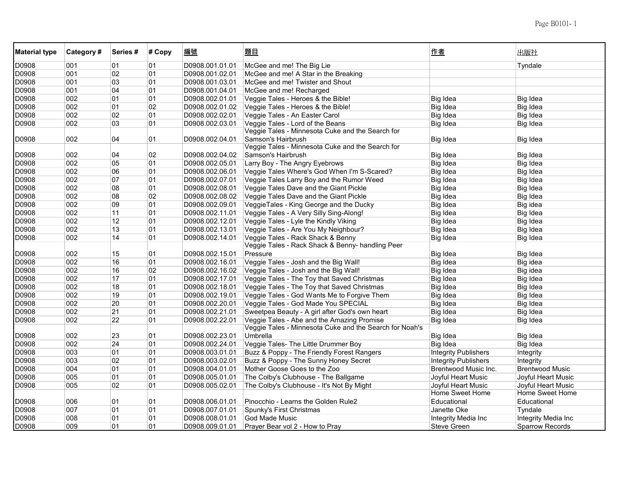| <b>Material type</b> | Category# | Series# | # Copy | 編號              | 題目                                                                  | 作者                          | 出版社                    |
|----------------------|-----------|---------|--------|-----------------|---------------------------------------------------------------------|-----------------------------|------------------------|
| D0908                | 001       | 01      | 01     | D0908.001.01.01 | McGee and me! The Big Lie                                           |                             | Tyndale                |
| D0908                | 001       | 02      | 01     | D0908.001.02.01 | McGee and me! A Star in the Breaking                                |                             |                        |
| D0908                | 001       | 03      | 01     | D0908.001.03.01 | McGee and me! Twister and Shout                                     |                             |                        |
| D0908                | 001       | 04      | 01     | D0908.001.04.01 | McGee and me! Recharged                                             |                             |                        |
| D0908                | 002       | 01      | 01     | D0908.002.01.01 | Veggie Tales - Heroes & the Bible!                                  | Big Idea                    | Big Idea               |
| D0908                | 002       | 01      | 02     | D0908.002.01.02 | Veggie Tales - Heroes & the Bible!                                  | Big Idea                    | Big Idea               |
| D0908                | 002       | 02      | 01     | D0908.002.02.01 | Veggie Tales - An Easter Carol                                      | Big Idea                    | Big Idea               |
| D0908                | 002       | 03      | 01     | D0908.002.03.01 | Veggie Tales - Lord of the Beans                                    | <b>Big Idea</b>             | Big Idea               |
|                      |           |         |        |                 | Veggie Tales - Minnesota Cuke and the Search for                    |                             |                        |
| D0908                | 002       | 04      | 01     | D0908.002.04.01 | Samson's Hairbrush                                                  | Big Idea                    | <b>Big Idea</b>        |
|                      |           |         |        |                 | Veggie Tales - Minnesota Cuke and the Search for                    |                             |                        |
| D0908                | 002       | 04      | 02     | D0908.002.04.02 | Samson's Hairbrush                                                  | Big Idea                    | <b>Big Idea</b>        |
| D0908                | 002       | 05      | 01     | D0908.002.05.01 | Larry Boy - The Angry Eyebrows                                      | Big Idea                    | Big Idea               |
| D0908                | 002       | 06      | 01     | D0908.002.06.01 | Veggie Tales Where's God When I'm S-Scared?                         | Big Idea                    | Big Idea               |
| D0908                | 002       | 07      | 01     | D0908.002.07.01 | Veggie Tales Larry Boy and the Rumor Weed                           | Big Idea                    | Big Idea               |
| D0908                | 002       | 08      | 01     | D0908.002.08.01 | Veggie Tales Dave and the Giant Pickle                              | Big Idea                    | Big Idea               |
| D0908                | 002       | 08      | 02     | D0908.002.08.02 | Veggie Tales Dave and the Giant Pickle                              | Big Idea                    | Big Idea               |
| D0908                | 002       | 09      | 01     | D0908.002.09.01 | VeggieTales - King George and the Ducky                             | Big Idea                    | Big idea               |
| D0908                | 002       | 11      | 01     | D0908.002.11.01 | Veggie Tales - A Very Silly Sing-Along!                             | <b>Big Idea</b>             | Big Idea               |
| D0908                | 002       | 12      | 01     | D0908.002.12.01 | Veggie Tales - Lyle the Kindly Viking                               | Big Idea                    | Big Idea               |
| D0908                | 002       | 13      | 01     | D0908.002.13.01 | Veggie Tales - Are You My Neighbour?                                | Big Idea                    | Big Idea               |
| D0908                | 002       | 14      | 01     | D0908.002.14.01 | Veggie Tales - Rack Shack & Benny                                   | Big Idea                    | Big Idea               |
|                      |           |         |        |                 | Veggie Tales - Rack Shack & Benny- handling Peer                    |                             |                        |
| D0908                | 002       | 15      | 01     | D0908.002.15.01 | Pressure                                                            | Big Idea                    | <b>Big Idea</b>        |
| D0908                | 002       | 16      | 01     | D0908.002.16.01 | Veggie Tales - Josh and the Big Wall!                               | Big Idea                    | Big idea               |
| D0908                | 002       | 16      | 02     | D0908.002.16.02 | Veggie Tales - Josh and the Big Wall!                               | Big Idea                    | Big idea               |
| D0908                | 002       | 17      | 01     | D0908.002.17.01 | Veggie Tales - The Toy that Saved Christmas                         | Big Idea                    | Big Idea               |
| D0908                | 002       | 18      | 01     | D0908.002.18.01 | Veggie Tales - The Toy that Saved Christmas                         | Big Idea                    | Big Idea               |
| D0908                | 002       | 19      | 01     | D0908.002.19.01 | Veggie Tales - God Wants Me to Forgive Them                         | Big Idea                    | Big Idea               |
| D0908                | 002       | 20      | 01     | D0908.002.20.01 | Veggie Tales - God Made You SPECIAL                                 | Big Idea                    | Big Idea               |
| D0908                | 002       | 21      | 01     | D0908.002.21.01 | Sweetpea Beauty - A girl after God's own heart                      | Big Idea                    | Big Idea               |
| D0908                | 002       | 22      | 01     | D0908.002.22.01 | Veggie Tales - Abe and the Amazing Promise                          | Big Idea                    | <b>Big Idea</b>        |
| D0908                | 002       | 23      | 01     | D0908.002.23.01 | Veggie Tales - Minnesota Cuke and the Search for Noah's<br>Umbrella | Big Idea                    | Big Idea               |
| D0908                | 002       | 24      | 01     | D0908.002.24.01 | Veggie Tales- The Little Drummer Boy                                | Big Idea                    | Big Idea               |
| D0908                | 003       | 01      | 01     | D0908.003.01.01 | Buzz & Poppy - The Friendly Forest Rangers                          | <b>Integrity Publishers</b> | Integrity              |
| D0908                | 003       | 02      | 01     | D0908.003.02.01 | Buzz & Poppy - The Sunny Honey Secret                               | <b>Integrity Publishers</b> | Integrity              |
| D0908                | 004       | 01      | 01     | D0908.004.01.01 | Mother Goose Goes to the Zoo                                        | Brentwood Music Inc.        | <b>Brentwood Music</b> |
| D0908                | 005       | 01      | 01     | D0908.005.01.01 | The Colby's Clubhouse - The Ballgame                                | Joyful Heart Music          | Joyful Heart Music     |
| D0908                | 005       | 02      | 01     | D0908.005.02.01 | The Colby's Clubhouse - It's Not By Might                           | Joyful Heart Music          | Joyful Heart Music     |
|                      |           |         |        |                 |                                                                     | Home Sweet Home             | Home Sweet Home        |
| D0908                | 006       | 01      | 01     | D0908.006.01.01 | Pinocchio - Learns the Golden Rule2                                 | Educational                 | Educational            |
| D0908                | 007       | 01      | 01     | D0908.007.01.01 | Spunky's First Christmas                                            | Janette Oke                 | Tyndale                |
| D0908                | 008       | 01      | 01     | D0908.008.01.01 | God Made Music                                                      | Integrity Media Inc         | Integrity Media Inc    |
| D0908                | 009       | 01      | 01     | D0908.009.01.01 | Prayer Bear vol 2 - How to Pray                                     | <b>Steve Green</b>          | <b>Sparrow Records</b> |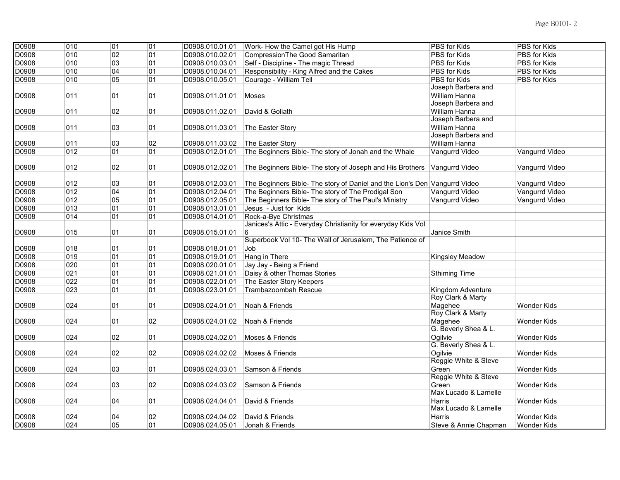| D0908 | $\overline{010}$ | $\overline{01}$ | 01 | D0908.010.01.01 | Work- How the Camel got His Hump                                           | <b>PBS</b> for Kids   | PBS for Kids       |
|-------|------------------|-----------------|----|-----------------|----------------------------------------------------------------------------|-----------------------|--------------------|
| D0908 | 010              | 02              | 01 | D0908.010.02.01 | CompressionThe Good Samaritan                                              | <b>PBS</b> for Kids   | PBS for Kids       |
| D0908 | 010              | 03              | 01 | D0908.010.03.01 | Self - Discipline - The magic Thread                                       | PBS for Kids          | PBS for Kids       |
| D0908 | 010              | 04              | 01 | D0908.010.04.01 | Responsibility - King Alfred and the Cakes                                 | PBS for Kids          | PBS for Kids       |
| D0908 | 010              | 05              | 01 | D0908.010.05.01 | Courage - William Tell                                                     | PBS for Kids          | PBS for Kids       |
|       |                  |                 |    |                 |                                                                            | Joseph Barbera and    |                    |
| D0908 | 011              | 01              | 01 | D0908.011.01.01 | Moses                                                                      | William Hanna         |                    |
|       |                  |                 |    |                 |                                                                            | Joseph Barbera and    |                    |
| D0908 | 011              | 02              | 01 | D0908.011.02.01 | David & Goliath                                                            | William Hanna         |                    |
|       |                  |                 |    |                 |                                                                            | Joseph Barbera and    |                    |
| D0908 | 011              | 03              | 01 | D0908.011.03.01 | The Easter Story                                                           | William Hanna         |                    |
|       |                  |                 |    |                 |                                                                            | Joseph Barbera and    |                    |
| D0908 | 011              | 03              | 02 | D0908.011.03.02 | The Easter Story                                                           | William Hanna         |                    |
| D0908 | 012              | 01              | 01 | D0908.012.01.01 | The Beginners Bible- The story of Jonah and the Whale                      | Vangurrd Video        | Vangurrd Video     |
|       |                  |                 |    |                 |                                                                            |                       |                    |
| D0908 | 012              | 02              | 01 | D0908.012.02.01 | The Beginners Bible- The story of Joseph and His Brothers                  | Vangurrd Video        | Vangurrd Video     |
|       |                  |                 |    |                 |                                                                            |                       |                    |
| D0908 | 012              | 03              | 01 | D0908.012.03.01 | The Beginners Bible- The story of Daniel and the Lion's Den Vangurrd Video |                       | Vangurrd Video     |
| D0908 | 012              | 04              | 01 | D0908.012.04.01 | The Beginners Bible- The story of The Prodigal Son                         | Vangurrd Video        | Vangurrd Video     |
| D0908 | 012              | 05              | 01 | D0908.012.05.01 | The Beginners Bible- The story of The Paul's Ministry                      | Vangurrd Video        | Vangurrd Video     |
| D0908 | 013              | 01              | 01 | D0908.013.01.01 | Jesus - Just for Kids                                                      |                       |                    |
| D0908 | 014              | 01              | 01 | D0908.014.01.01 | Rock-a-Bye Christmas                                                       |                       |                    |
|       |                  |                 |    |                 | Janices's Attic - Everyday Christianity for everyday Kids Vol              |                       |                    |
| D0908 | 015              | 01              | 01 | D0908.015.01.01 | 6                                                                          | Janice Smith          |                    |
|       |                  |                 |    |                 | Superbook Vol 10- The Wall of Jerusalem, The Patience of                   |                       |                    |
| D0908 | 018              | 01              | 01 | D0908.018.01.01 | Job                                                                        |                       |                    |
| D0908 | 019              | 01              | 01 | D0908.019.01.01 | Hang in There                                                              | Kingsley Meadow       |                    |
| D0908 | 020              | 01              | 01 | D0908.020.01.01 | Jay Jay - Being a Friend                                                   |                       |                    |
| D0908 | 021              | 01              | 01 | D0908.021.01.01 | Daisy & other Thomas Stories                                               | <b>Sthiming Time</b>  |                    |
| D0908 | 022              | 01              | 01 | D0908.022.01.01 | The Easter Story Keepers                                                   |                       |                    |
| D0908 | 023              | 01              | 01 | D0908.023.01.01 | Trambazoombah Rescue                                                       | Kingdom Adventure     |                    |
|       |                  |                 |    |                 |                                                                            | Roy Clark & Marty     |                    |
| D0908 | 024              | 01              | 01 | D0908.024.01.01 | Noah & Friends                                                             | Magehee               | <b>Wonder Kids</b> |
|       |                  |                 |    |                 |                                                                            | Roy Clark & Marty     |                    |
| D0908 | 024              | 01              | 02 | D0908.024.01.02 | Noah & Friends                                                             | Magehee               | <b>Wonder Kids</b> |
|       |                  |                 |    |                 |                                                                            | G. Beverly Shea & L.  |                    |
| D0908 | 024              | 02              | 01 | D0908.024.02.01 | Moses & Friends                                                            | Oailvie               | Wonder Kids        |
|       |                  |                 |    |                 |                                                                            | G. Beverly Shea & L.  |                    |
| D0908 | 024              | $02\,$          | 02 | D0908.024.02.02 | Moses & Friends                                                            | Oailvie               | <b>Wonder Kids</b> |
|       |                  |                 |    |                 |                                                                            | Reggie White & Steve  |                    |
| D0908 | 024              | 03              | 01 | D0908.024.03.01 | Samson & Friends                                                           | Green                 | Wonder Kids        |
|       |                  |                 |    |                 |                                                                            | Reggie White & Steve  |                    |
| D0908 | 024              | 03              | 02 | D0908.024.03.02 | Samson & Friends                                                           | Green                 | Wonder Kids        |
|       |                  |                 |    |                 |                                                                            | Max Lucado & Larnelle |                    |
| D0908 | 024              | 04              | 01 | D0908.024.04.01 | David & Friends                                                            | Harris                | Wonder Kids        |
|       |                  |                 |    |                 |                                                                            | Max Lucado & Larnelle |                    |
| D0908 | 024              | 04              | 02 | D0908.024.04.02 | David & Friends                                                            | Harris                | <b>Wonder Kids</b> |
| D0908 | 024              | 05              | 01 | D0908.024.05.01 | Jonah & Friends                                                            | Steve & Annie Chapman | <b>Wonder Kids</b> |